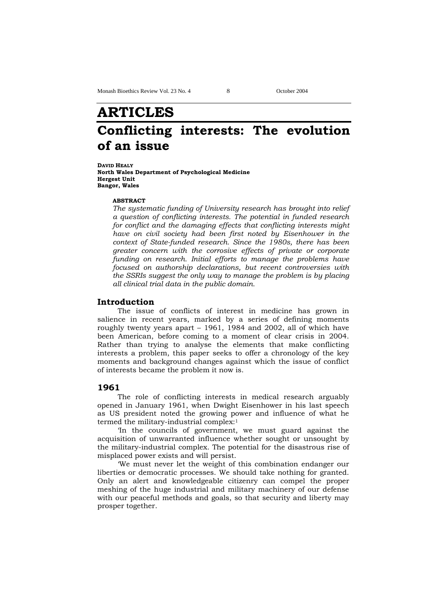# **ARTICLES Conflicting interests: The evolution of an issue**

**DAVID HEALY North Wales Department of Psychological Medicine Hergest Unit Bangor, Wales** 

## **ABSTRACT**

*The systematic funding of University research has brought into relief a question of conflicting interests. The potential in funded research for conflict and the damaging effects that conflicting interests might have on civil society had been first noted by Eisenhower in the context of State-funded research. Since the 1980s, there has been greater concern with the corrosive effects of private or corporate funding on research. Initial efforts to manage the problems have focused on authorship declarations, but recent controversies with the SSRIs suggest the only way to manage the problem is by placing all clinical trial data in the public domain.* 

# **Introduction**

The issue of conflicts of interest in medicine has grown in salience in recent years, marked by a series of defining moments roughly twenty years apart – 1961, 1984 and 2002, all of which have been American, before coming to a moment of clear crisis in 2004. Rather than trying to analyse the elements that make conflicting interests a problem, this paper seeks to offer a chronology of the key moments and background changes against which the issue of conflict of interests became the problem it now is.

#### **1961**

The role of conflicting interests in medical research arguably opened in January 1961, when Dwight Eisenhower in his last speech as US president noted the growing power and influence of what he termed the military-industrial complex[:1](#page--1-0)

'In the councils of government, we must guard against the acquisition of unwarranted influence whether sought or unsought by the military-industrial complex. The potential for the disastrous rise of misplaced power exists and will persist.

'We must never let the weight of this combination endanger our liberties or democratic processes. We should take nothing for granted. Only an alert and knowledgeable citizenry can compel the proper meshing of the huge industrial and military machinery of our defense with our peaceful methods and goals, so that security and liberty may prosper together.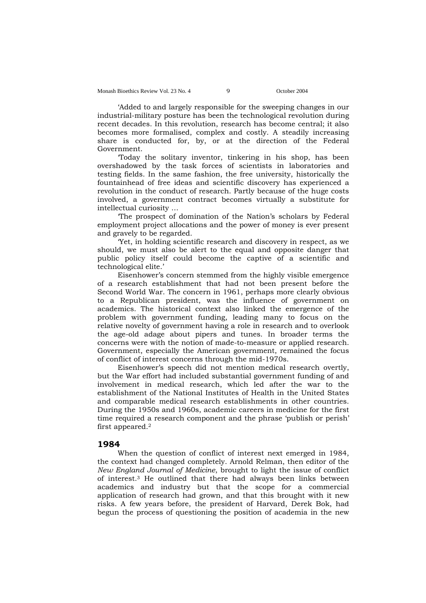'Added to and largely responsible for the sweeping changes in our industrial-military posture has been the technological revolution during recent decades. In this revolution, research has become central; it also becomes more formalised, complex and costly. A steadily increasing share is conducted for, by, or at the direction of the Federal Government.

'Today the solitary inventor, tinkering in his shop, has been overshadowed by the task forces of scientists in laboratories and testing fields. In the same fashion, the free university, historically the fountainhead of free ideas and scientific discovery has experienced a revolution in the conduct of research. Partly because of the huge costs involved, a government contract becomes virtually a substitute for intellectual curiosity …

'The prospect of domination of the Nation's scholars by Federal employment project allocations and the power of money is ever present and gravely to be regarded.

'Yet, in holding scientific research and discovery in respect, as we should, we must also be alert to the equal and opposite danger that public policy itself could become the captive of a scientific and technological elite.'

Eisenhower's concern stemmed from the highly visible emergence of a research establishment that had not been present before the Second World War. The concern in 1961, perhaps more clearly obvious to a Republican president, was the influence of government on academics. The historical context also linked the emergence of the problem with government funding, leading many to focus on the relative novelty of government having a role in research and to overlook the age-old adage about pipers and tunes. In broader terms the concerns were with the notion of made-to-measure or applied research. Government, especially the American government, remained the focus of conflict of interest concerns through the mid-1970s.

Eisenhower's speech did not mention medical research overtly, but the War effort had included substantial government funding of and involvement in medical research, which led after the war to the establishment of the National Institutes of Health in the United States and comparable medical research establishments in other countries. During the 1950s and 1960s, academic careers in medicine for the first time required a research component and the phrase 'publish or perish' first appeared[.2](#page--1-1)

## **1984**

When the question of conflict of interest next emerged in 1984, the context had changed completely. Arnold Relman, then editor of the *New England Journal of Medicine*, brought to light the issue of conflict of interest[.3](#page--1-2) He outlined that there had always been links between academics and industry but that the scope for a commercial application of research had grown, and that this brought with it new risks. A few years before, the president of Harvard, Derek Bok, had begun the process of questioning the position of academia in the new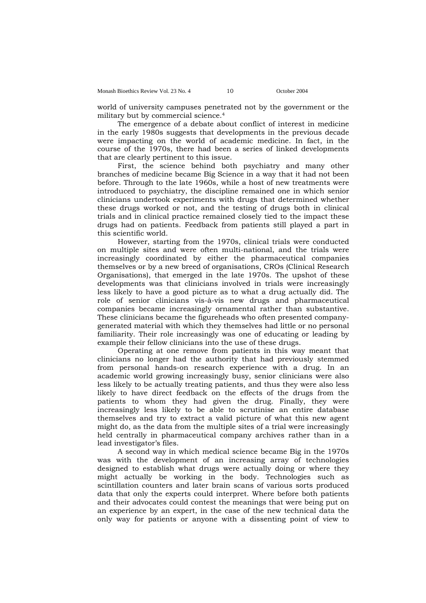world of university campuses penetrated not by the government or the military but by commercial science[.4](#page--1-3)

The emergence of a debate about conflict of interest in medicine in the early 1980s suggests that developments in the previous decade were impacting on the world of academic medicine. In fact, in the course of the 1970s, there had been a series of linked developments that are clearly pertinent to this issue.

First, the science behind both psychiatry and many other branches of medicine became Big Science in a way that it had not been before. Through to the late 1960s, while a host of new treatments were introduced to psychiatry, the discipline remained one in which senior clinicians undertook experiments with drugs that determined whether these drugs worked or not, and the testing of drugs both in clinical trials and in clinical practice remained closely tied to the impact these drugs had on patients. Feedback from patients still played a part in this scientific world.

However, starting from the 1970s, clinical trials were conducted on multiple sites and were often multi-national, and the trials were increasingly coordinated by either the pharmaceutical companies themselves or by a new breed of organisations, CROs (Clinical Research Organisations), that emerged in the late 1970s. The upshot of these developments was that clinicians involved in trials were increasingly less likely to have a good picture as to what a drug actually did. The role of senior clinicians vis-à-vis new drugs and pharmaceutical companies became increasingly ornamental rather than substantive. These clinicians became the figureheads who often presented companygenerated material with which they themselves had little or no personal familiarity. Their role increasingly was one of educating or leading by example their fellow clinicians into the use of these drugs.

Operating at one remove from patients in this way meant that clinicians no longer had the authority that had previously stemmed from personal hands-on research experience with a drug. In an academic world growing increasingly busy, senior clinicians were also less likely to be actually treating patients, and thus they were also less likely to have direct feedback on the effects of the drugs from the patients to whom they had given the drug. Finally, they were increasingly less likely to be able to scrutinise an entire database themselves and try to extract a valid picture of what this new agent might do, as the data from the multiple sites of a trial were increasingly held centrally in pharmaceutical company archives rather than in a lead investigator's files.

A second way in which medical science became Big in the 1970s was with the development of an increasing array of technologies designed to establish what drugs were actually doing or where they might actually be working in the body. Technologies such as scintillation counters and later brain scans of various sorts produced data that only the experts could interpret. Where before both patients and their advocates could contest the meanings that were being put on an experience by an expert, in the case of the new technical data the only way for patients or anyone with a dissenting point of view to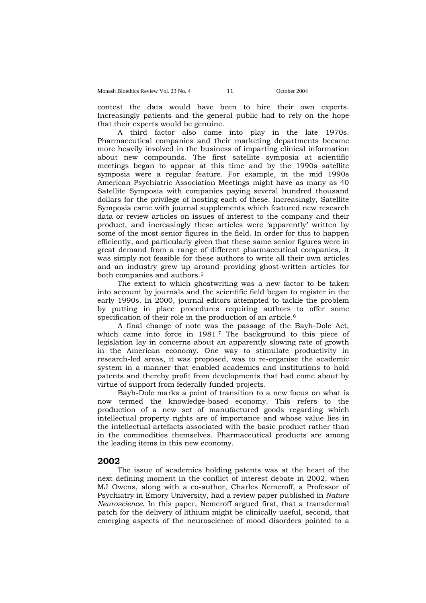contest the data would have been to hire their own experts. Increasingly patients and the general public had to rely on the hope that their experts would be genuine.

A third factor also came into play in the late 1970s. Pharmaceutical companies and their marketing departments became more heavily involved in the business of imparting clinical information about new compounds. The first satellite symposia at scientific meetings began to appear at this time and by the 1990s satellite symposia were a regular feature. For example, in the mid 1990s American Psychiatric Association Meetings might have as many as 40 Satellite Symposia with companies paying several hundred thousand dollars for the privilege of hosting each of these. Increasingly, Satellite Symposia came with journal supplements which featured new research data or review articles on issues of interest to the company and their product, and increasingly these articles were 'apparently' written by some of the most senior figures in the field. In order for this to happen efficiently, and particularly given that these same senior figures were in great demand from a range of different pharmaceutical companies, it was simply not feasible for these authors to write all their own articles and an industry grew up around providing ghost-written articles for both companies and authors[.5](#page--1-4) 

The extent to which ghostwriting was a new factor to be taken into account by journals and the scientific field began to register in the early 1990s. In 2000, journal editors attempted to tackle the problem by putting in place procedures requiring authors to offer some specification of their role in the production of an article.<sup>6</sup>

A final change of note was the passage of the Bayh-Dole Act, which came into force in 1981[.7](#page--1-6) The background to this piece of legislation lay in concerns about an apparently slowing rate of growth in the American economy. One way to stimulate productivity in research-led areas, it was proposed, was to re-organise the academic system in a manner that enabled academics and institutions to hold patents and thereby profit from developments that had come about by virtue of support from federally-funded projects.

Bayh-Dole marks a point of transition to a new focus on what is now termed the knowledge-based economy. This refers to the production of a new set of manufactured goods regarding which intellectual property rights are of importance and whose value lies in the intellectual artefacts associated with the basic product rather than in the commodities themselves. Pharmaceutical products are among the leading items in this new economy.

## **2002**

The issue of academics holding patents was at the heart of the next defining moment in the conflict of interest debate in 2002, when MJ Owens, along with a co-author, Charles Nemeroff, a Professor of Psychiatry in Emory University, had a review paper published in *Nature Neuroscience*. In this paper, Nemeroff argued first, that a transdermal patch for the delivery of lithium might be clinically useful, second, that emerging aspects of the neuroscience of mood disorders pointed to a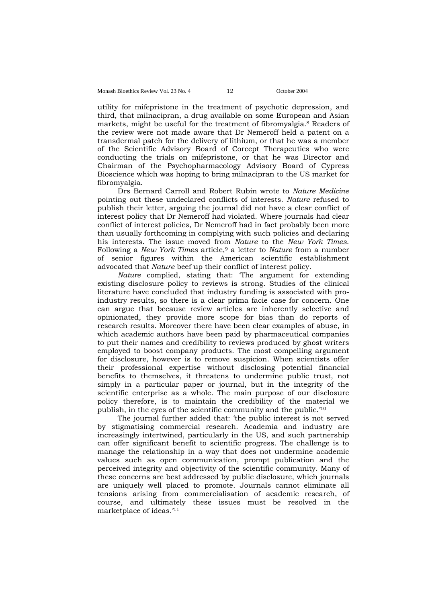utility for mifepristone in the treatment of psychotic depression, and third, that milnacipran, a drug available on some European and Asian markets, might be useful for the treatment of fibromyalgia[.8](#page--1-7) Readers of the review were not made aware that Dr Nemeroff held a patent on a transdermal patch for the delivery of lithium, or that he was a member of the Scientific Advisory Board of Corcept Therapeutics who were conducting the trials on mifepristone, or that he was Director and Chairman of the Psychopharmacology Advisory Board of Cypress Bioscience which was hoping to bring milnacipran to the US market for fibromyalgia.

Drs Bernard Carroll and Robert Rubin wrote to *Nature Medicine* pointing out these undeclared conflicts of interests. *Nature* refused to publish their letter, arguing the journal did not have a clear conflict of interest policy that Dr Nemeroff had violated. Where journals had clear conflict of interest policies, Dr Nemeroff had in fact probably been more than usually forthcoming in complying with such policies and declaring his interests. The issue moved from *Nature* to the *New York Times*. Following a *New York Times* article[,9](#page--1-8) a letter to *Nature* from a number of senior figures within the American scientific establishment advocated that *Nature* beef up their conflict of interest policy.

*Nature* complied, stating that: 'The argument for extending existing disclosure policy to reviews is strong. Studies of the clinical literature have concluded that industry funding is associated with proindustry results, so there is a clear prima facie case for concern. One can argue that because review articles are inherently selective and opinionated, they provide more scope for bias than do reports of research results. Moreover there have been clear examples of abuse, in which academic authors have been paid by pharmaceutical companies to put their names and credibility to reviews produced by ghost writers employed to boost company products. The most compelling argument for disclosure, however is to remove suspicion. When scientists offer their professional expertise without disclosing potential financial benefits to themselves, it threatens to undermine public trust, not simply in a particular paper or journal, but in the integrity of the scientific enterprise as a whole. The main purpose of our disclosure policy therefore, is to maintain the credibility of the material we publish, in the eyes of the scientific community and the public.['10](#page--1-9) 

The journal further added that: 'the public interest is not served by stigmatising commercial research. Academia and industry are increasingly intertwined, particularly in the US, and such partnership can offer significant benefit to scientific progress. The challenge is to manage the relationship in a way that does not undermine academic values such as open communication, prompt publication and the perceived integrity and objectivity of the scientific community. Many of these concerns are best addressed by public disclosure, which journals are uniquely well placed to promote. Journals cannot eliminate all tensions arising from commercialisation of academic research, of course, and ultimately these issues must be resolved in the marketplace of ideas.['11](#page--1-10)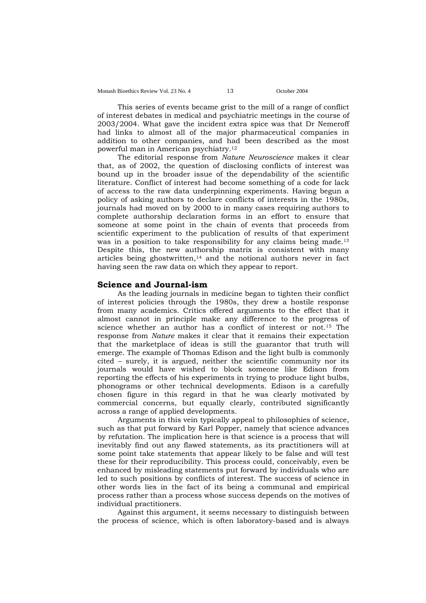This series of events became grist to the mill of a range of conflict of interest debates in medical and psychiatric meetings in the course of 2003/2004. What gave the incident extra spice was that Dr Nemeroff had links to almost all of the major pharmaceutical companies in addition to other companies, and had been described as the most powerful man in American psychiatry[.12](#page--1-11)

The editorial response from *Nature Neuroscience* makes it clear that, as of 2002, the question of disclosing conflicts of interest was bound up in the broader issue of the dependability of the scientific literature. Conflict of interest had become something of a code for lack of access to the raw data underpinning experiments. Having begun a policy of asking authors to declare conflicts of interests in the 1980s, journals had moved on by 2000 to in many cases requiring authors to complete authorship declaration forms in an effort to ensure that someone at some point in the chain of events that proceeds from scientific experiment to the publication of results of that experiment was in a position to take responsibility for any claims being made.<sup>13</sup> Despite this, the new authorship matrix is consistent with many articles being ghostwritten,[14](#page--1-13) and the notional authors never in fact having seen the raw data on which they appear to report.

## **Science and Journal-ism**

As the leading journals in medicine began to tighten their conflict of interest policies through the 1980s, they drew a hostile response from many academics. Critics offered arguments to the effect that it almost cannot in principle make any difference to the progress of science whether an author has a conflict of interest or not[.15](#page--1-14) The response from *Nature* makes it clear that it remains their expectation that the marketplace of ideas is still the guarantor that truth will emerge. The example of Thomas Edison and the light bulb is commonly cited – surely, it is argued, neither the scientific community nor its journals would have wished to block someone like Edison from reporting the effects of his experiments in trying to produce light bulbs, phonograms or other technical developments. Edison is a carefully chosen figure in this regard in that he was clearly motivated by commercial concerns, but equally clearly, contributed significantly across a range of applied developments.

Arguments in this vein typically appeal to philosophies of science, such as that put forward by Karl Popper, namely that science advances by refutation. The implication here is that science is a process that will inevitably find out any flawed statements, as its practitioners will at some point take statements that appear likely to be false and will test these for their reproducibility. This process could, conceivably, even be enhanced by misleading statements put forward by individuals who are led to such positions by conflicts of interest. The success of science in other words lies in the fact of its being a communal and empirical process rather than a process whose success depends on the motives of individual practitioners.

Against this argument, it seems necessary to distinguish between the process of science, which is often laboratory-based and is always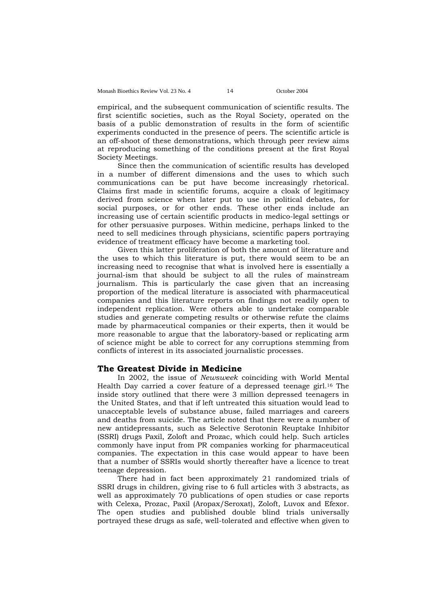empirical, and the subsequent communication of scientific results. The first scientific societies, such as the Royal Society, operated on the basis of a public demonstration of results in the form of scientific experiments conducted in the presence of peers. The scientific article is an off-shoot of these demonstrations, which through peer review aims at reproducing something of the conditions present at the first Royal Society Meetings.

Since then the communication of scientific results has developed in a number of different dimensions and the uses to which such communications can be put have become increasingly rhetorical. Claims first made in scientific forums, acquire a cloak of legitimacy derived from science when later put to use in political debates, for social purposes, or for other ends. These other ends include an increasing use of certain scientific products in medico-legal settings or for other persuasive purposes. Within medicine, perhaps linked to the need to sell medicines through physicians, scientific papers portraying evidence of treatment efficacy have become a marketing tool.

Given this latter proliferation of both the amount of literature and the uses to which this literature is put, there would seem to be an increasing need to recognise that what is involved here is essentially a journal-ism that should be subject to all the rules of mainstream journalism. This is particularly the case given that an increasing proportion of the medical literature is associated with pharmaceutical companies and this literature reports on findings not readily open to independent replication. Were others able to undertake comparable studies and generate competing results or otherwise refute the claims made by pharmaceutical companies or their experts, then it would be more reasonable to argue that the laboratory-based or replicating arm of science might be able to correct for any corruptions stemming from conflicts of interest in its associated journalistic processes.

# **The Greatest Divide in Medicine**

In 2002, the issue of *Newsweek* coinciding with World Mental Health Day carried a cover feature of a depressed teenage girl.[16](#page--1-15) The inside story outlined that there were 3 million depressed teenagers in the United States, and that if left untreated this situation would lead to unacceptable levels of substance abuse, failed marriages and careers and deaths from suicide. The article noted that there were a number of new antidepressants, such as Selective Serotonin Reuptake Inhibitor (SSRI) drugs Paxil, Zoloft and Prozac, which could help. Such articles commonly have input from PR companies working for pharmaceutical companies. The expectation in this case would appear to have been that a number of SSRIs would shortly thereafter have a licence to treat teenage depression.

There had in fact been approximately 21 randomized trials of SSRI drugs in children, giving rise to 6 full articles with 3 abstracts, as well as approximately 70 publications of open studies or case reports with Celexa, Prozac, Paxil (Aropax/Seroxat), Zoloft, Luvox and Efexor. The open studies and published double blind trials universally portrayed these drugs as safe, well-tolerated and effective when given to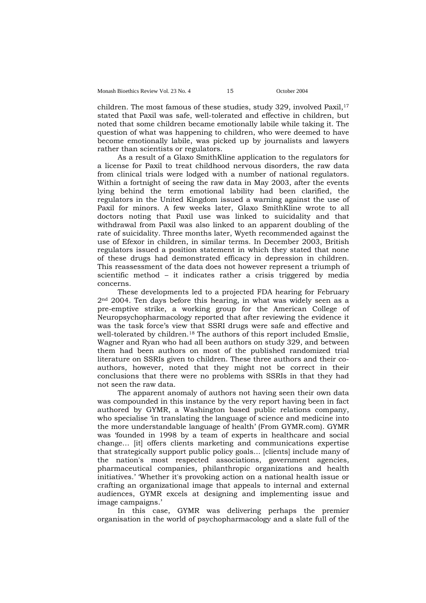children. The most famous of these studies, study 329, involved Paxil,<sup>17</sup> stated that Paxil was safe, well-tolerated and effective in children, but noted that some children became emotionally labile while taking it. The question of what was happening to children, who were deemed to have become emotionally labile, was picked up by journalists and lawyers rather than scientists or regulators.

As a result of a Glaxo SmithKline application to the regulators for a license for Paxil to treat childhood nervous disorders, the raw data from clinical trials were lodged with a number of national regulators. Within a fortnight of seeing the raw data in May 2003, after the events lying behind the term emotional lability had been clarified, the regulators in the United Kingdom issued a warning against the use of Paxil for minors. A few weeks later, Glaxo SmithKline wrote to all doctors noting that Paxil use was linked to suicidality and that withdrawal from Paxil was also linked to an apparent doubling of the rate of suicidality. Three months later, Wyeth recommended against the use of Efexor in children, in similar terms. In December 2003, British regulators issued a position statement in which they stated that none of these drugs had demonstrated efficacy in depression in children. This reassessment of the data does not however represent a triumph of scientific method – it indicates rather a crisis triggered by media concerns.

These developments led to a projected FDA hearing for February 2nd 2004. Ten days before this hearing, in what was widely seen as a pre-emptive strike, a working group for the American College of Neuropsychopharmacology reported that after reviewing the evidence it was the task force's view that SSRI drugs were safe and effective and well-tolerated by children[.18](#page--1-6) The authors of this report included Emslie, Wagner and Ryan who had all been authors on study 329, and between them had been authors on most of the published randomized trial literature on SSRIs given to children. These three authors and their coauthors, however, noted that they might not be correct in their conclusions that there were no problems with SSRIs in that they had not seen the raw data.

The apparent anomaly of authors not having seen their own data was compounded in this instance by the very report having been in fact authored by GYMR, a Washington based public relations company, who specialise 'in translating the language of science and medicine into the more understandable language of health' (From GYMR.com). GYMR was 'founded in 1998 by a team of experts in healthcare and social change… [it] offers clients marketing and communications expertise that strategically support public policy goals… [clients] include many of the nation's most respected associations, government agencies, pharmaceutical companies, philanthropic organizations and health initiatives.' 'Whether it's provoking action on a national health issue or crafting an organizational image that appeals to internal and external audiences, GYMR excels at designing and implementing issue and image campaigns.'

In this case, GYMR was delivering perhaps the premier organisation in the world of psychopharmacology and a slate full of the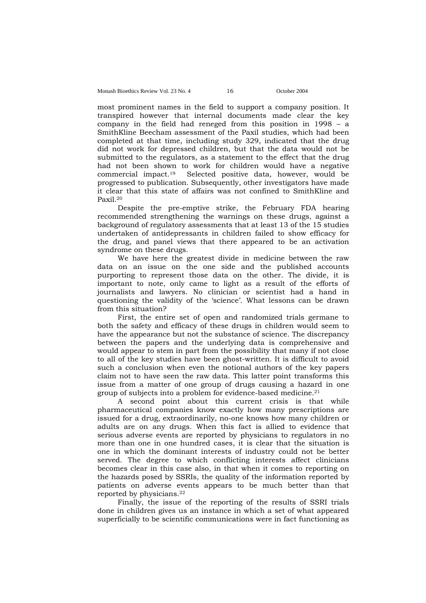most prominent names in the field to support a company position. It transpired however that internal documents made clear the key company in the field had reneged from this position in 1998 – a SmithKline Beecham assessment of the Paxil studies, which had been completed at that time, including study 329, indicated that the drug did not work for depressed children, but that the data would not be submitted to the regulators, as a statement to the effect that the drug had not been shown to work for children would have a negative commercial impact.[19](#page--1-17) Selected positive data, however, would be progressed to publication. Subsequently, other investigators have made it clear that this state of affairs was not confined to SmithKline and Paxil.[20](#page--1-18)

Despite the pre-emptive strike, the February FDA hearing recommended strengthening the warnings on these drugs, against a background of regulatory assessments that at least 13 of the 15 studies undertaken of antidepressants in children failed to show efficacy for the drug, and panel views that there appeared to be an activation syndrome on these drugs.

We have here the greatest divide in medicine between the raw data on an issue on the one side and the published accounts purporting to represent those data on the other. The divide, it is important to note, only came to light as a result of the efforts of journalists and lawyers. No clinician or scientist had a hand in questioning the validity of the 'science'. What lessons can be drawn from this situation?

First, the entire set of open and randomized trials germane to both the safety and efficacy of these drugs in children would seem to have the appearance but not the substance of science. The discrepancy between the papers and the underlying data is comprehensive and would appear to stem in part from the possibility that many if not close to all of the key studies have been ghost-written. It is difficult to avoid such a conclusion when even the notional authors of the key papers claim not to have seen the raw data. This latter point transforms this issue from a matter of one group of drugs causing a hazard in one group of subjects into a problem for evidence-based medicine.[21](#page--1-19)

A second point about this current crisis is that while pharmaceutical companies know exactly how many prescriptions are issued for a drug, extraordinarily, no-one knows how many children or adults are on any drugs. When this fact is allied to evidence that serious adverse events are reported by physicians to regulators in no more than one in one hundred cases, it is clear that the situation is one in which the dominant interests of industry could not be better served. The degree to which conflicting interests affect clinicians becomes clear in this case also, in that when it comes to reporting on the hazards posed by SSRIs, the quality of the information reported by patients on adverse events appears to be much better than that reported by physicians[.22](#page--1-20)

Finally, the issue of the reporting of the results of SSRI trials done in children gives us an instance in which a set of what appeared superficially to be scientific communications were in fact functioning as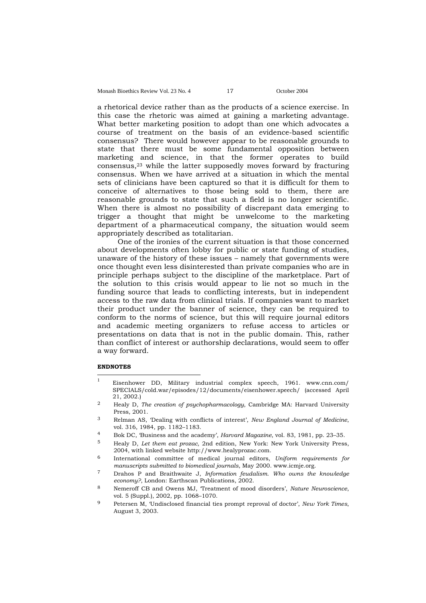a rhetorical device rather than as the products of a science exercise. In this case the rhetoric was aimed at gaining a marketing advantage. What better marketing position to adopt than one which advocates a course of treatment on the basis of an evidence-based scientific consensus? There would however appear to be reasonable grounds to state that there must be some fundamental opposition between marketing and science, in that the former operates to build consensus[,23](#page--1-21) while the latter supposedly moves forward by fracturing consensus. When we have arrived at a situation in which the mental sets of clinicians have been captured so that it is difficult for them to conceive of alternatives to those being sold to them, there are reasonable grounds to state that such a field is no longer scientific. When there is almost no possibility of discrepant data emerging to trigger a thought that might be unwelcome to the marketing department of a pharmaceutical company, the situation would seem appropriately described as totalitarian.

One of the ironies of the current situation is that those concerned about developments often lobby for public or state funding of studies, unaware of the history of these issues – namely that governments were once thought even less disinterested than private companies who are in principle perhaps subject to the discipline of the marketplace. Part of the solution to this crisis would appear to lie not so much in the funding source that leads to conflicting interests, but in independent access to the raw data from clinical trials. If companies want to market their product under the banner of science, they can be required to conform to the norms of science, but this will require journal editors and academic meeting organizers to refuse access to articles or presentations on data that is not in the public domain. This, rather than conflict of interest or authorship declarations, would seem to offer a way forward.

## **ENDNOTES**

 $\frac{1}{1}$  Eisenhower DD, Military industrial complex speech, 1961. www.cnn.com/ SPECIALS/cold.war/episodes/12/documents/eisenhower.speech/ (accessed April 21, 2002.)

<sup>2</sup> Healy D, *The creation of psychopharmacology*, Cambridge MA: Harvard University Press, 2001.

<sup>3</sup> Relman AS, 'Dealing with conflicts of interest', *New England Journal of Medicine*, vol. 316, 1984, pp. 1182–1183.

<sup>4</sup> Bok DC, 'Business and the academy', *Harvard Magazine*, vol. 83, 1981, pp. 23–35.

<sup>5</sup> Healy D, *Let them eat prozac*, 2nd edition, New York: New York University Press, 2004, with linked website http://www.healyprozac.com.

<sup>6</sup> International committee of medical journal editors, *Uniform requirements for manuscripts submitted to biomedical journals*, May 2000. www.icmje.org.

<sup>7</sup> Drahos P and Braithwaite J, *Information feudalism. Who owns the knowledge economy?*, London: Earthscan Publications, 2002.

<sup>8</sup> Nemeroff CB and Owens MJ, 'Treatment of mood disorders', *Nature Neuroscience*, vol. 5 (Suppl.), 2002, pp. 1068–1070.

<sup>9</sup> Petersen M, 'Undisclosed financial ties prompt reproval of doctor', *New York Times*, August 3, 2003.